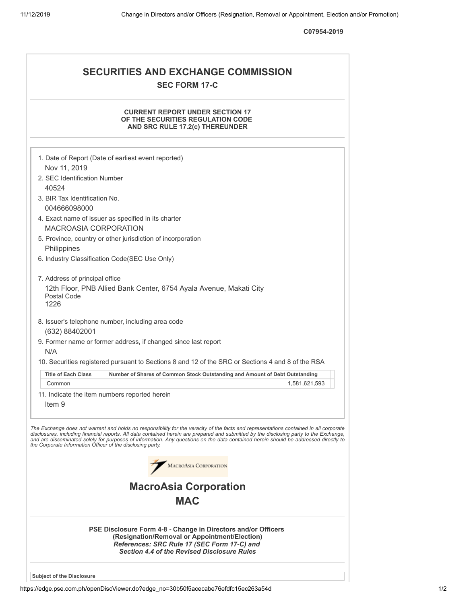**C07954-2019**

| <b>SECURITIES AND EXCHANGE COMMISSION</b><br><b>SEC FORM 17-C</b>                                                                                                                                                                                                                                                                                                                                                                                                                                                                                                                                                                                                                                                                                                                                                                                                                                                                                                          |
|----------------------------------------------------------------------------------------------------------------------------------------------------------------------------------------------------------------------------------------------------------------------------------------------------------------------------------------------------------------------------------------------------------------------------------------------------------------------------------------------------------------------------------------------------------------------------------------------------------------------------------------------------------------------------------------------------------------------------------------------------------------------------------------------------------------------------------------------------------------------------------------------------------------------------------------------------------------------------|
| <b>CURRENT REPORT UNDER SECTION 17</b><br>OF THE SECURITIES REGULATION CODE<br>AND SRC RULE 17.2(c) THEREUNDER                                                                                                                                                                                                                                                                                                                                                                                                                                                                                                                                                                                                                                                                                                                                                                                                                                                             |
| 1. Date of Report (Date of earliest event reported)<br>Nov 11, 2019<br>2. SEC Identification Number<br>40524<br>3. BIR Tax Identification No.<br>004666098000<br>4. Exact name of issuer as specified in its charter<br><b>MACROASIA CORPORATION</b><br>5. Province, country or other jurisdiction of incorporation<br>Philippines<br>6. Industry Classification Code(SEC Use Only)<br>7. Address of principal office<br>12th Floor, PNB Allied Bank Center, 6754 Ayala Avenue, Makati City<br>Postal Code<br>1226<br>8. Issuer's telephone number, including area code<br>(632) 88402001<br>9. Former name or former address, if changed since last report<br>N/A<br>10. Securities registered pursuant to Sections 8 and 12 of the SRC or Sections 4 and 8 of the RSA<br><b>Title of Each Class</b><br>Number of Shares of Common Stock Outstanding and Amount of Debt Outstanding<br>Common<br>1,581,621,593<br>11. Indicate the item numbers reported herein<br>Item 9 |
| The Exchange does not warrant and holds no responsibility for the veracity of the facts and representations contained in all corporate<br>disclosures, including financial reports. All data contained herein are prepared and submitted by the disclosing party to the Exchange,<br>and are disseminated solely for purposes of information. Any questions on the data contained herein should be addressed directly to<br>the Corporate Information Officer of the disclosing party.<br>MACROASIA CORPORATION<br><b>MacroAsia Corporation</b><br><b>MAC</b><br>PSE Disclosure Form 4-8 - Change in Directors and/or Officers                                                                                                                                                                                                                                                                                                                                             |
| (Resignation/Removal or Appointment/Election)<br>References: SRC Rule 17 (SEC Form 17-C) and<br><b>Section 4.4 of the Revised Disclosure Rules</b>                                                                                                                                                                                                                                                                                                                                                                                                                                                                                                                                                                                                                                                                                                                                                                                                                         |
| <b>Subject of the Disclosure</b>                                                                                                                                                                                                                                                                                                                                                                                                                                                                                                                                                                                                                                                                                                                                                                                                                                                                                                                                           |